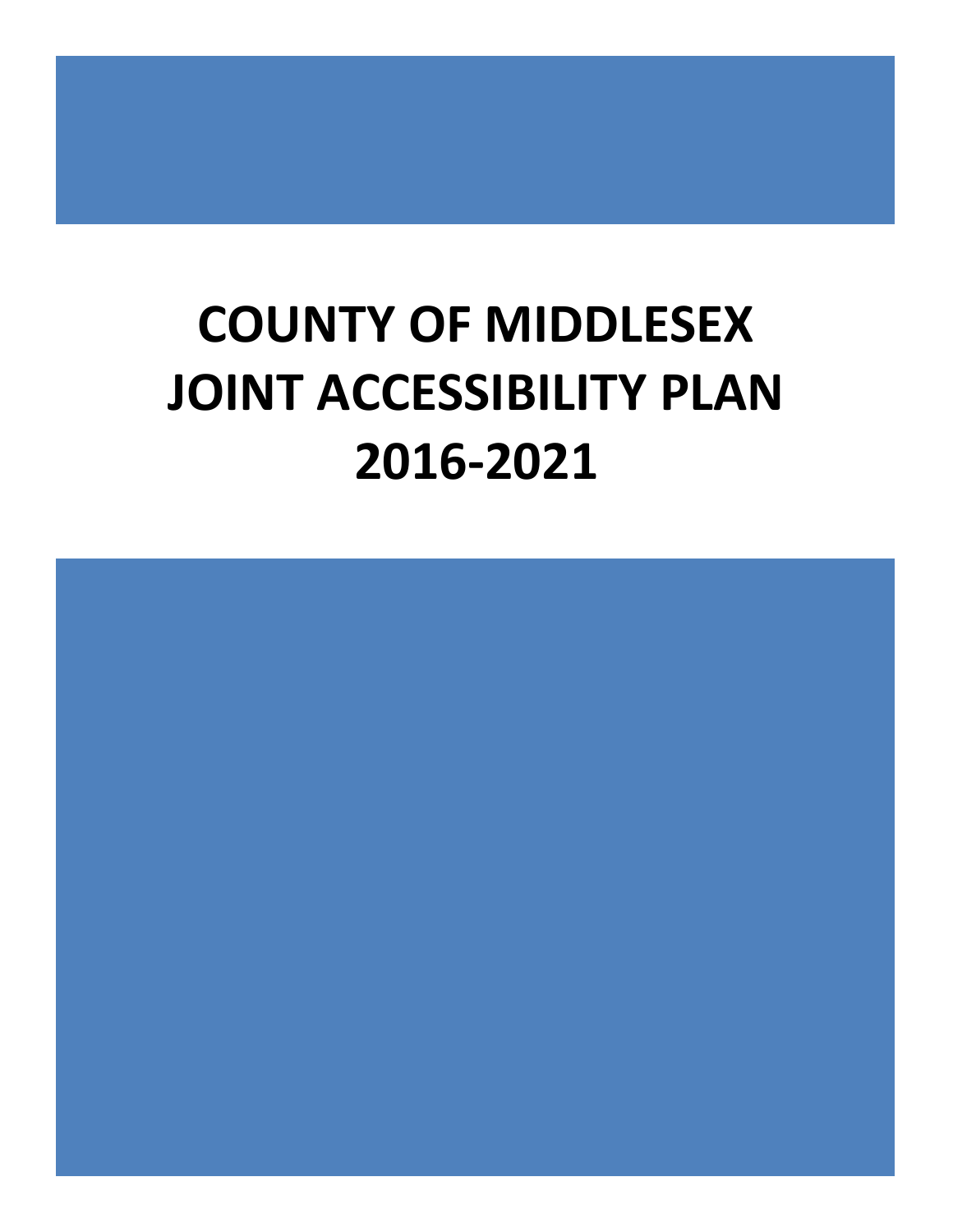# **COUNTY OF MIDDLESEX JOINT ACCESSIBILITY PLAN 2016-2021**

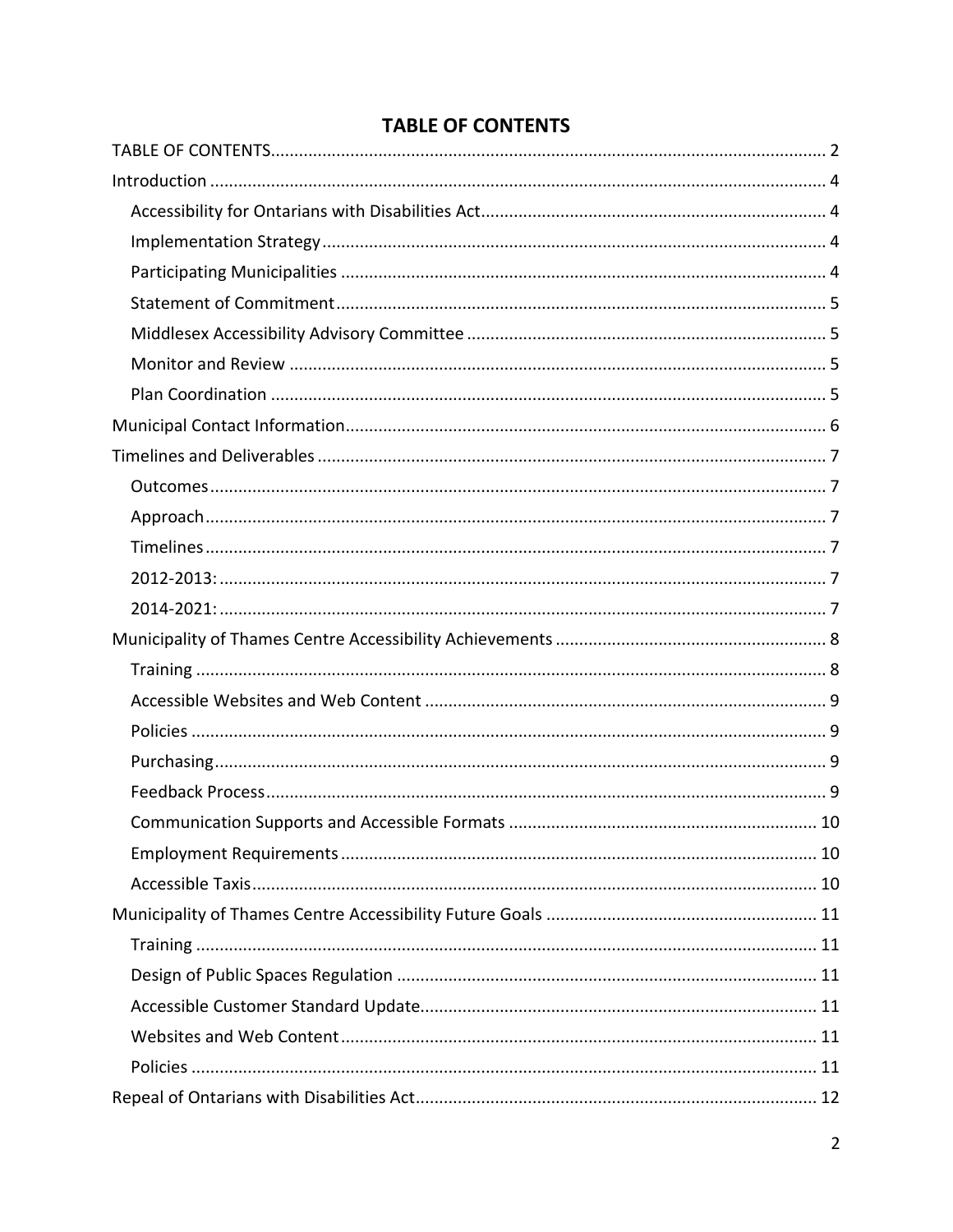<span id="page-1-0"></span>

# **TABLE OF CONTENTS**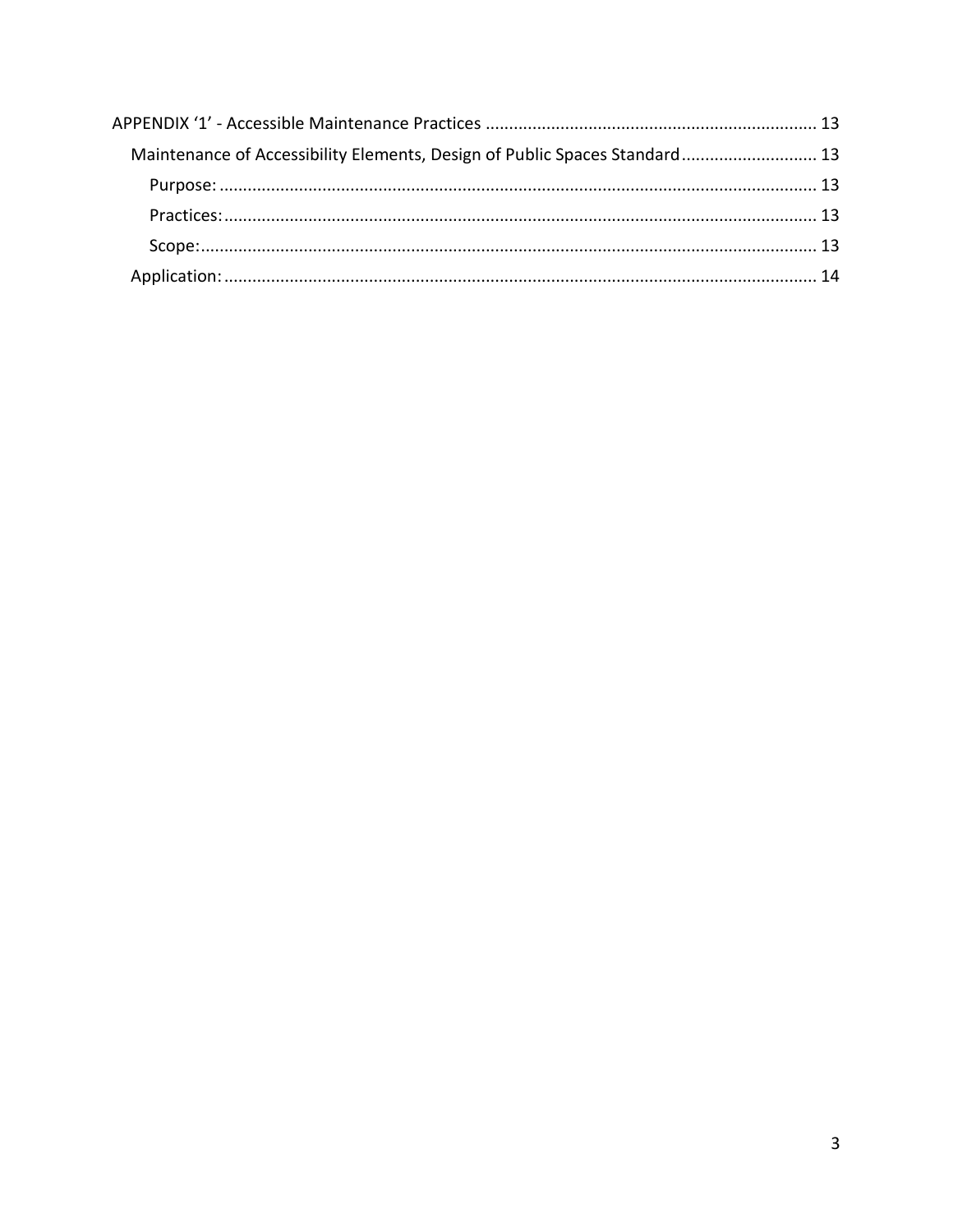| Maintenance of Accessibility Elements, Design of Public Spaces Standard 13 |  |
|----------------------------------------------------------------------------|--|
|                                                                            |  |
|                                                                            |  |
|                                                                            |  |
|                                                                            |  |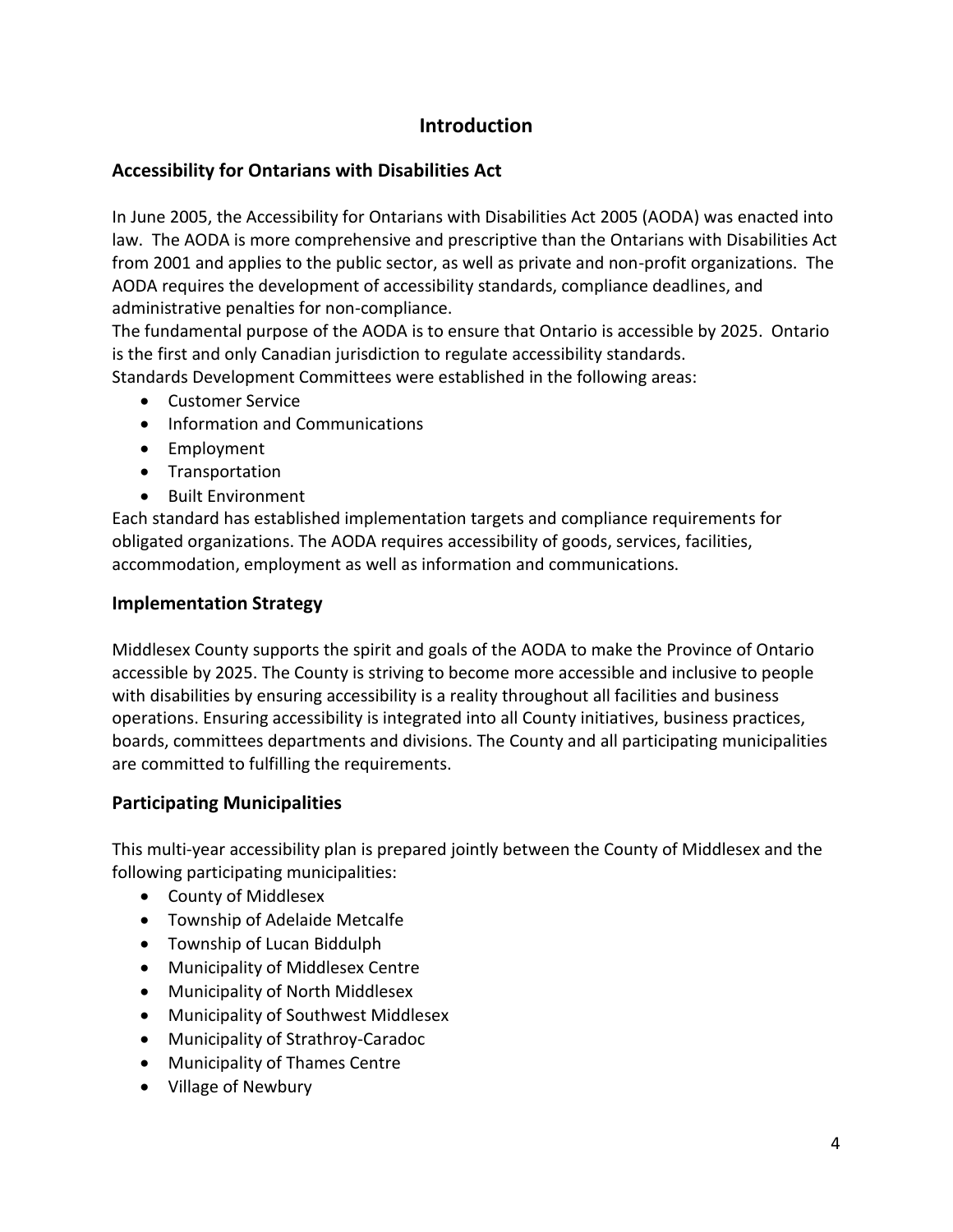# **Introduction**

# <span id="page-3-1"></span><span id="page-3-0"></span>**Accessibility for Ontarians with Disabilities Act**

In June 2005, the Accessibility for Ontarians with Disabilities Act 2005 (AODA) was enacted into law. The AODA is more comprehensive and prescriptive than the Ontarians with Disabilities Act from 2001 and applies to the public sector, as well as private and non-profit organizations. The AODA requires the development of accessibility standards, compliance deadlines, and administrative penalties for non-compliance.

The fundamental purpose of the AODA is to ensure that Ontario is accessible by 2025. Ontario is the first and only Canadian jurisdiction to regulate accessibility standards.

Standards Development Committees were established in the following areas:

- Customer Service
- Information and Communications
- Employment
- Transportation
- Built Environment

Each standard has established implementation targets and compliance requirements for obligated organizations. The AODA requires accessibility of goods, services, facilities, accommodation, employment as well as information and communications.

# <span id="page-3-2"></span>**Implementation Strategy**

Middlesex County supports the spirit and goals of the AODA to make the Province of Ontario accessible by 2025. The County is striving to become more accessible and inclusive to people with disabilities by ensuring accessibility is a reality throughout all facilities and business operations. Ensuring accessibility is integrated into all County initiatives, business practices, boards, committees departments and divisions. The County and all participating municipalities are committed to fulfilling the requirements.

# <span id="page-3-3"></span>**Participating Municipalities**

This multi-year accessibility plan is prepared jointly between the County of Middlesex and the following participating municipalities:

- County of Middlesex
- Township of Adelaide Metcalfe
- Township of Lucan Biddulph
- Municipality of Middlesex Centre
- Municipality of North Middlesex
- Municipality of Southwest Middlesex
- Municipality of Strathroy-Caradoc
- Municipality of Thames Centre
- Village of Newbury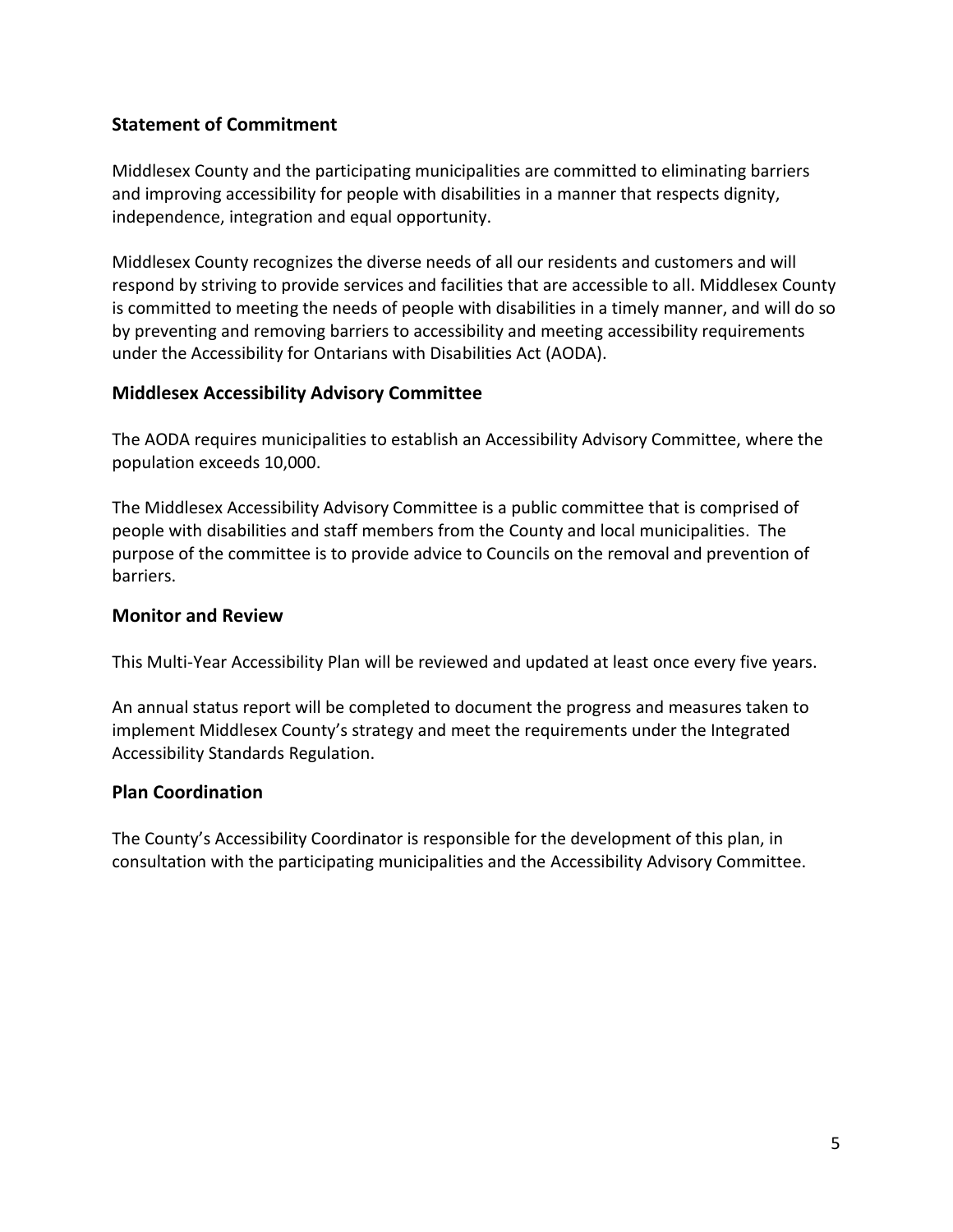# <span id="page-4-0"></span>**Statement of Commitment**

Middlesex County and the participating municipalities are committed to eliminating barriers and improving accessibility for people with disabilities in a manner that respects dignity, independence, integration and equal opportunity.

Middlesex County recognizes the diverse needs of all our residents and customers and will respond by striving to provide services and facilities that are accessible to all. Middlesex County is committed to meeting the needs of people with disabilities in a timely manner, and will do so by preventing and removing barriers to accessibility and meeting accessibility requirements under the Accessibility for Ontarians with Disabilities Act (AODA).

# <span id="page-4-1"></span>**Middlesex Accessibility Advisory Committee**

The AODA requires municipalities to establish an Accessibility Advisory Committee, where the population exceeds 10,000.

The Middlesex Accessibility Advisory Committee is a public committee that is comprised of people with disabilities and staff members from the County and local municipalities. The purpose of the committee is to provide advice to Councils on the removal and prevention of barriers.

# <span id="page-4-2"></span>**Monitor and Review**

This Multi-Year Accessibility Plan will be reviewed and updated at least once every five years.

An annual status report will be completed to document the progress and measures taken to implement Middlesex County's strategy and meet the requirements under the Integrated Accessibility Standards Regulation.

# <span id="page-4-3"></span>**Plan Coordination**

The County's Accessibility Coordinator is responsible for the development of this plan, in consultation with the participating municipalities and the Accessibility Advisory Committee.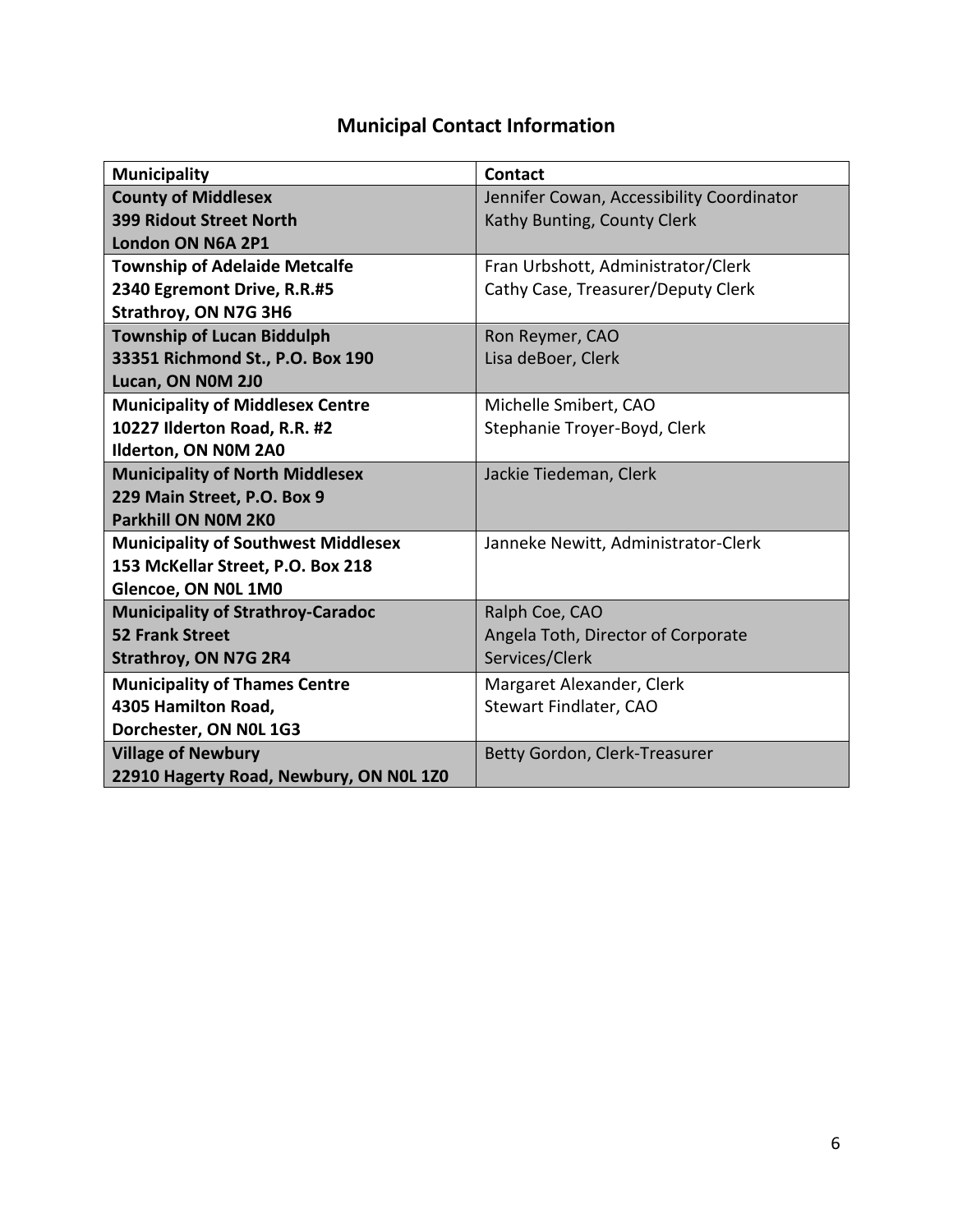# **Municipal Contact Information**

<span id="page-5-0"></span>

| <b>Municipality</b>                        | <b>Contact</b>                            |
|--------------------------------------------|-------------------------------------------|
| <b>County of Middlesex</b>                 | Jennifer Cowan, Accessibility Coordinator |
| <b>399 Ridout Street North</b>             | Kathy Bunting, County Clerk               |
| London ON N6A 2P1                          |                                           |
| <b>Township of Adelaide Metcalfe</b>       | Fran Urbshott, Administrator/Clerk        |
| 2340 Egremont Drive, R.R.#5                | Cathy Case, Treasurer/Deputy Clerk        |
| Strathroy, ON N7G 3H6                      |                                           |
| <b>Township of Lucan Biddulph</b>          | Ron Reymer, CAO                           |
| 33351 Richmond St., P.O. Box 190           | Lisa deBoer, Clerk                        |
| Lucan, ON NOM 2J0                          |                                           |
| <b>Municipality of Middlesex Centre</b>    | Michelle Smibert, CAO                     |
| 10227 Ilderton Road, R.R. #2               | Stephanie Troyer-Boyd, Clerk              |
| Ilderton, ON NOM 2A0                       |                                           |
| <b>Municipality of North Middlesex</b>     | Jackie Tiedeman, Clerk                    |
| 229 Main Street, P.O. Box 9                |                                           |
| <b>Parkhill ON NOM 2K0</b>                 |                                           |
| <b>Municipality of Southwest Middlesex</b> | Janneke Newitt, Administrator-Clerk       |
| 153 McKellar Street, P.O. Box 218          |                                           |
| Glencoe, ON NOL 1M0                        |                                           |
| <b>Municipality of Strathroy-Caradoc</b>   | Ralph Coe, CAO                            |
| <b>52 Frank Street</b>                     | Angela Toth, Director of Corporate        |
| <b>Strathroy, ON N7G 2R4</b>               | Services/Clerk                            |
| <b>Municipality of Thames Centre</b>       | Margaret Alexander, Clerk                 |
| 4305 Hamilton Road,                        | Stewart Findlater, CAO                    |
| Dorchester, ON NOL 1G3                     |                                           |
| <b>Village of Newbury</b>                  | Betty Gordon, Clerk-Treasurer             |
| 22910 Hagerty Road, Newbury, ON NOL 1Z0    |                                           |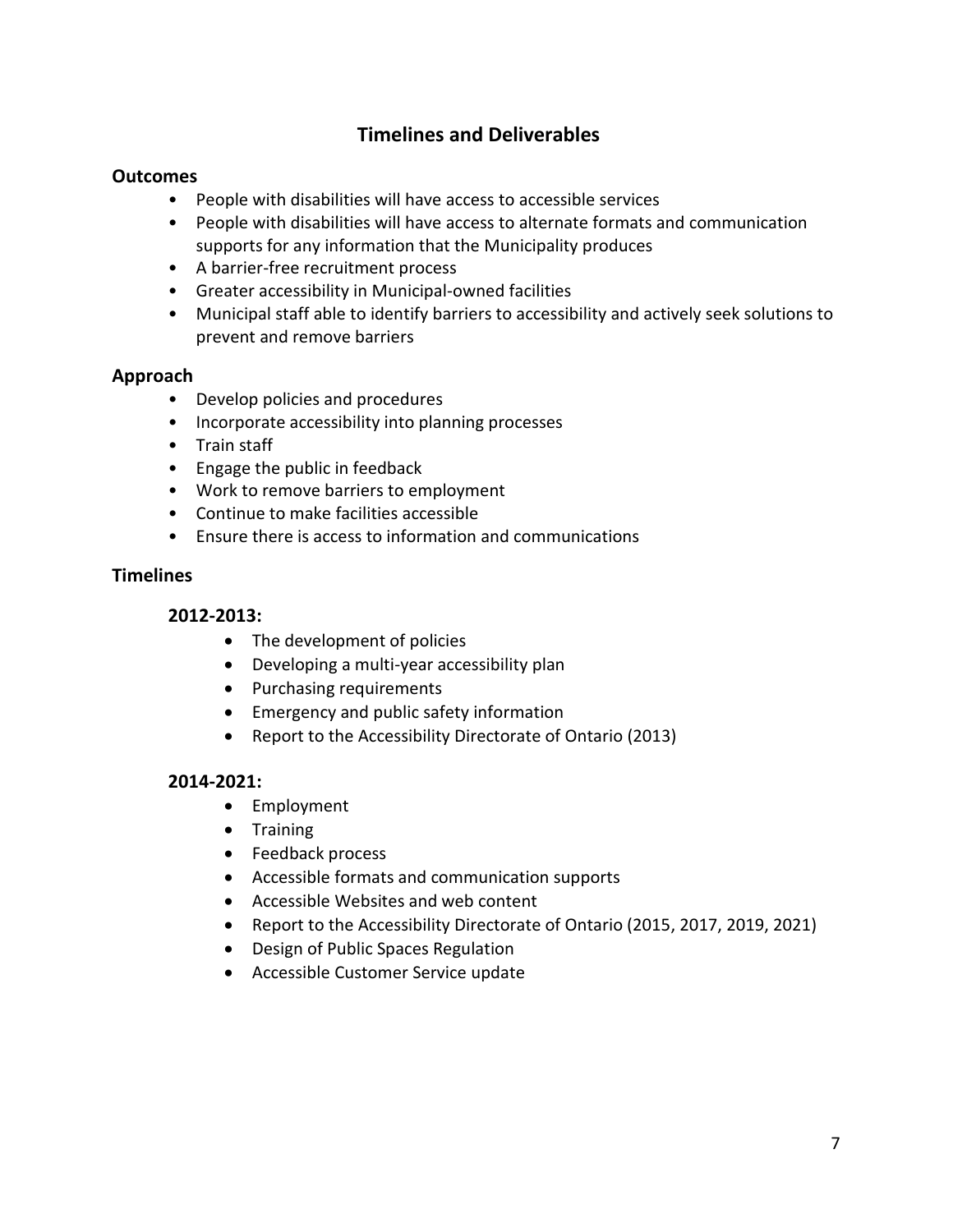# <span id="page-6-0"></span>**Timelines and Deliverables**

# <span id="page-6-1"></span>**Outcomes**

- People with disabilities will have access to accessible services
- People with disabilities will have access to alternate formats and communication supports for any information that the Municipality produces
- A barrier-free recruitment process
- Greater accessibility in Municipal-owned facilities
- Municipal staff able to identify barriers to accessibility and actively seek solutions to prevent and remove barriers

# <span id="page-6-2"></span>**Approach**

- Develop policies and procedures
- Incorporate accessibility into planning processes
- Train staff
- Engage the public in feedback
- Work to remove barriers to employment
- Continue to make facilities accessible
- Ensure there is access to information and communications

#### <span id="page-6-4"></span><span id="page-6-3"></span>**Timelines**

#### **2012-2013:**

- The development of policies
- Developing a multi-year accessibility plan
- Purchasing requirements
- **•** Emergency and public safety information
- Report to the Accessibility Directorate of Ontario (2013)

#### <span id="page-6-5"></span>**2014-2021:**

- Employment
- **•** Training
- Feedback process
- Accessible formats and communication supports
- Accessible Websites and web content
- Report to the Accessibility Directorate of Ontario (2015, 2017, 2019, 2021)
- Design of Public Spaces Regulation
- Accessible Customer Service update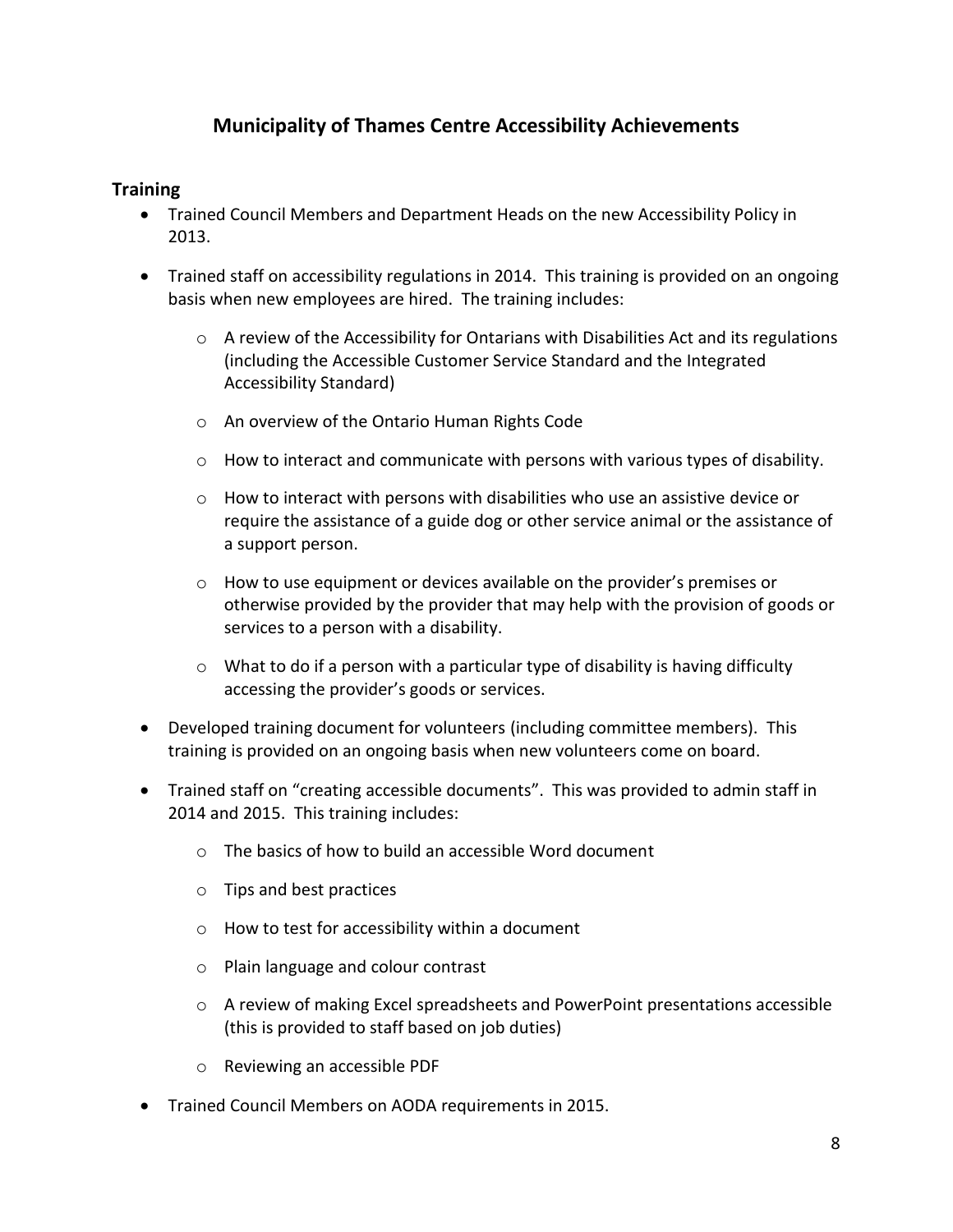# **Municipality of Thames Centre Accessibility Achievements**

# <span id="page-7-1"></span><span id="page-7-0"></span>**Training**

- Trained Council Members and Department Heads on the new Accessibility Policy in 2013.
- Trained staff on accessibility regulations in 2014. This training is provided on an ongoing basis when new employees are hired. The training includes:
	- $\circ$  A review of the Accessibility for Ontarians with Disabilities Act and its regulations (including the Accessible Customer Service Standard and the Integrated Accessibility Standard)
	- o An overview of the Ontario Human Rights Code
	- $\circ$  How to interact and communicate with persons with various types of disability.
	- $\circ$  How to interact with persons with disabilities who use an assistive device or require the assistance of a guide dog or other service animal or the assistance of a support person.
	- o How to use equipment or devices available on the provider's premises or otherwise provided by the provider that may help with the provision of goods or services to a person with a disability.
	- $\circ$  What to do if a person with a particular type of disability is having difficulty accessing the provider's goods or services.
- Developed training document for volunteers (including committee members). This training is provided on an ongoing basis when new volunteers come on board.
- Trained staff on "creating accessible documents". This was provided to admin staff in 2014 and 2015. This training includes:
	- $\circ$  The basics of how to build an accessible Word document
	- o Tips and best practices
	- o How to test for accessibility within a document
	- o Plain language and colour contrast
	- o A review of making Excel spreadsheets and PowerPoint presentations accessible (this is provided to staff based on job duties)
	- o Reviewing an accessible PDF
- Trained Council Members on AODA requirements in 2015.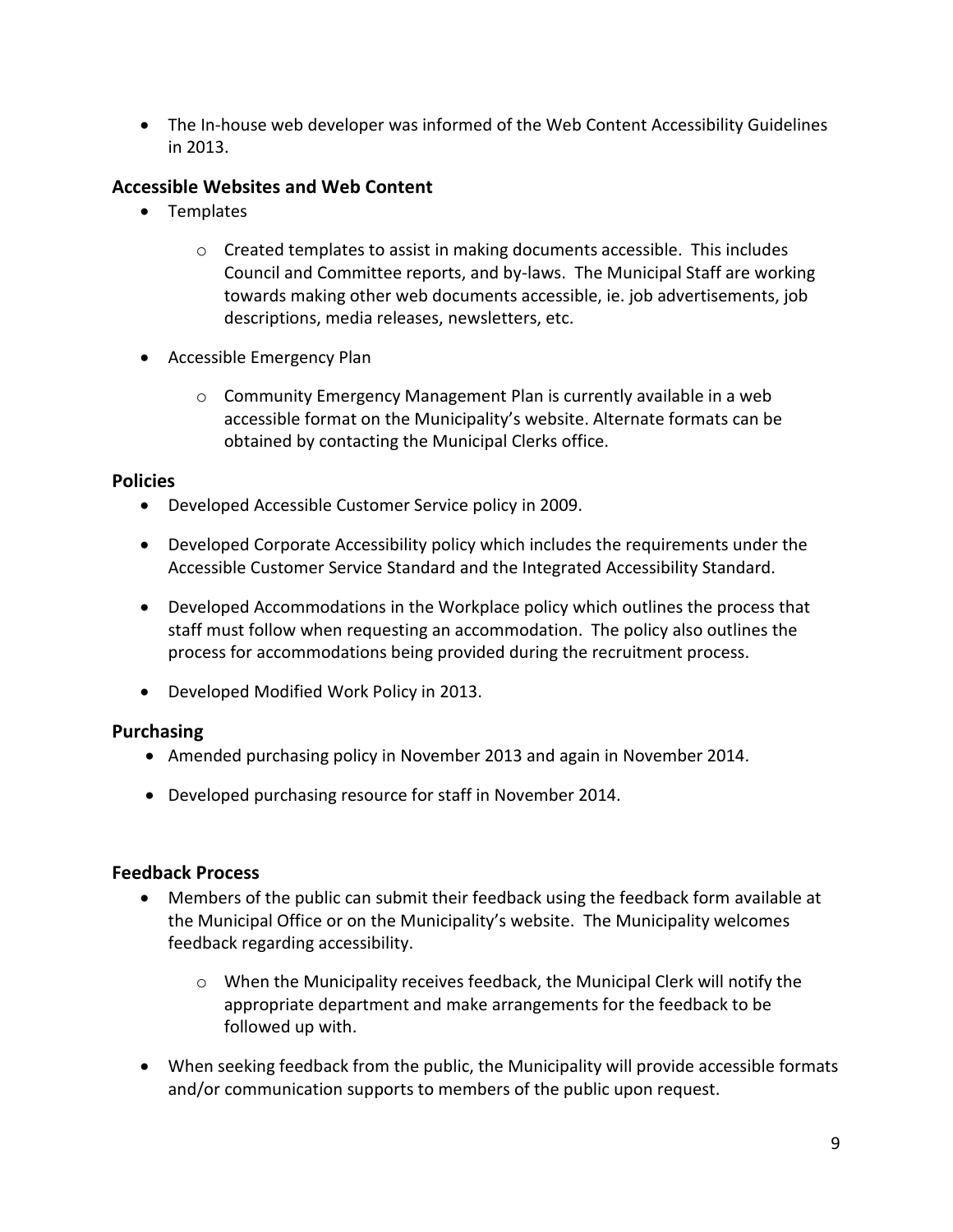The In-house web developer was informed of the Web Content Accessibility Guidelines in 2013.

# <span id="page-8-0"></span>**Accessible Websites and Web Content**

- Templates
	- $\circ$  Created templates to assist in making documents accessible. This includes Council and Committee reports, and by-laws. The Municipal Staff are working towards making other web documents accessible, ie. job advertisements, job descriptions, media releases, newsletters, etc.
- Accessible Emergency Plan
	- o Community Emergency Management Plan is currently available in a web accessible format on the Municipality's website. Alternate formats can be obtained by contacting the Municipal Clerks office.

#### <span id="page-8-1"></span>**Policies**

- Developed Accessible Customer Service policy in 2009.
- Developed Corporate Accessibility policy which includes the requirements under the Accessible Customer Service Standard and the Integrated Accessibility Standard.
- Developed Accommodations in the Workplace policy which outlines the process that staff must follow when requesting an accommodation. The policy also outlines the process for accommodations being provided during the recruitment process.
- Developed Modified Work Policy in 2013.

# <span id="page-8-2"></span>**Purchasing**

- Amended purchasing policy in November 2013 and again in November 2014.
- Developed purchasing resource for staff in November 2014.

# <span id="page-8-3"></span>**Feedback Process**

- Members of the public can submit their feedback using the feedback form available at the Municipal Office or on the Municipality's website. The Municipality welcomes feedback regarding accessibility.
	- o When the Municipality receives feedback, the Municipal Clerk will notify the appropriate department and make arrangements for the feedback to be followed up with.
- When seeking feedback from the public, the Municipality will provide accessible formats and/or communication supports to members of the public upon request.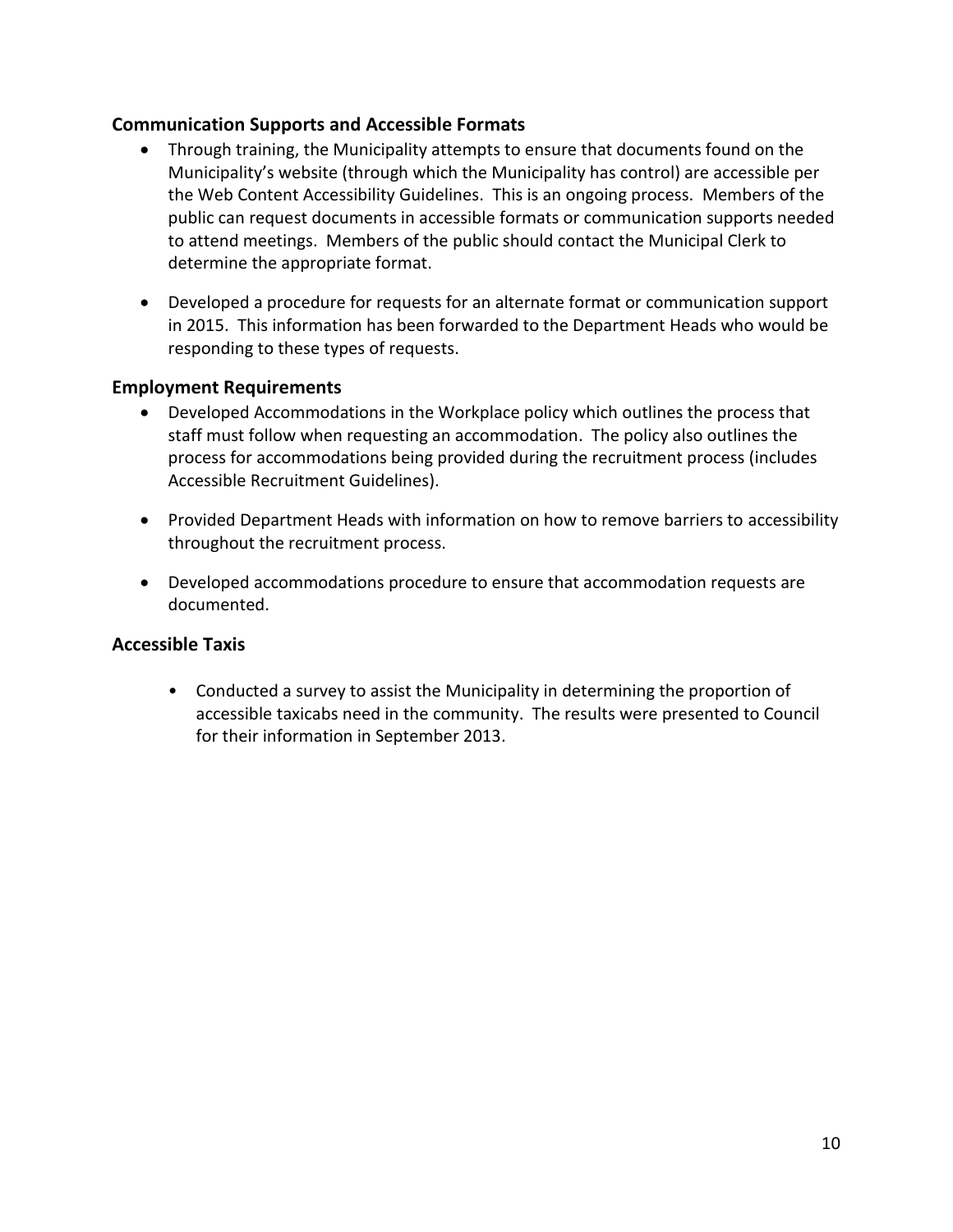# <span id="page-9-0"></span>**Communication Supports and Accessible Formats**

- Through training, the Municipality attempts to ensure that documents found on the Municipality's website (through which the Municipality has control) are accessible per the Web Content Accessibility Guidelines. This is an ongoing process. Members of the public can request documents in accessible formats or communication supports needed to attend meetings. Members of the public should contact the Municipal Clerk to determine the appropriate format.
- Developed a procedure for requests for an alternate format or communication support in 2015. This information has been forwarded to the Department Heads who would be responding to these types of requests.

# <span id="page-9-1"></span>**Employment Requirements**

- Developed Accommodations in the Workplace policy which outlines the process that staff must follow when requesting an accommodation. The policy also outlines the process for accommodations being provided during the recruitment process (includes Accessible Recruitment Guidelines).
- Provided Department Heads with information on how to remove barriers to accessibility throughout the recruitment process.
- Developed accommodations procedure to ensure that accommodation requests are documented.

# <span id="page-9-2"></span>**Accessible Taxis**

• Conducted a survey to assist the Municipality in determining the proportion of accessible taxicabs need in the community. The results were presented to Council for their information in September 2013.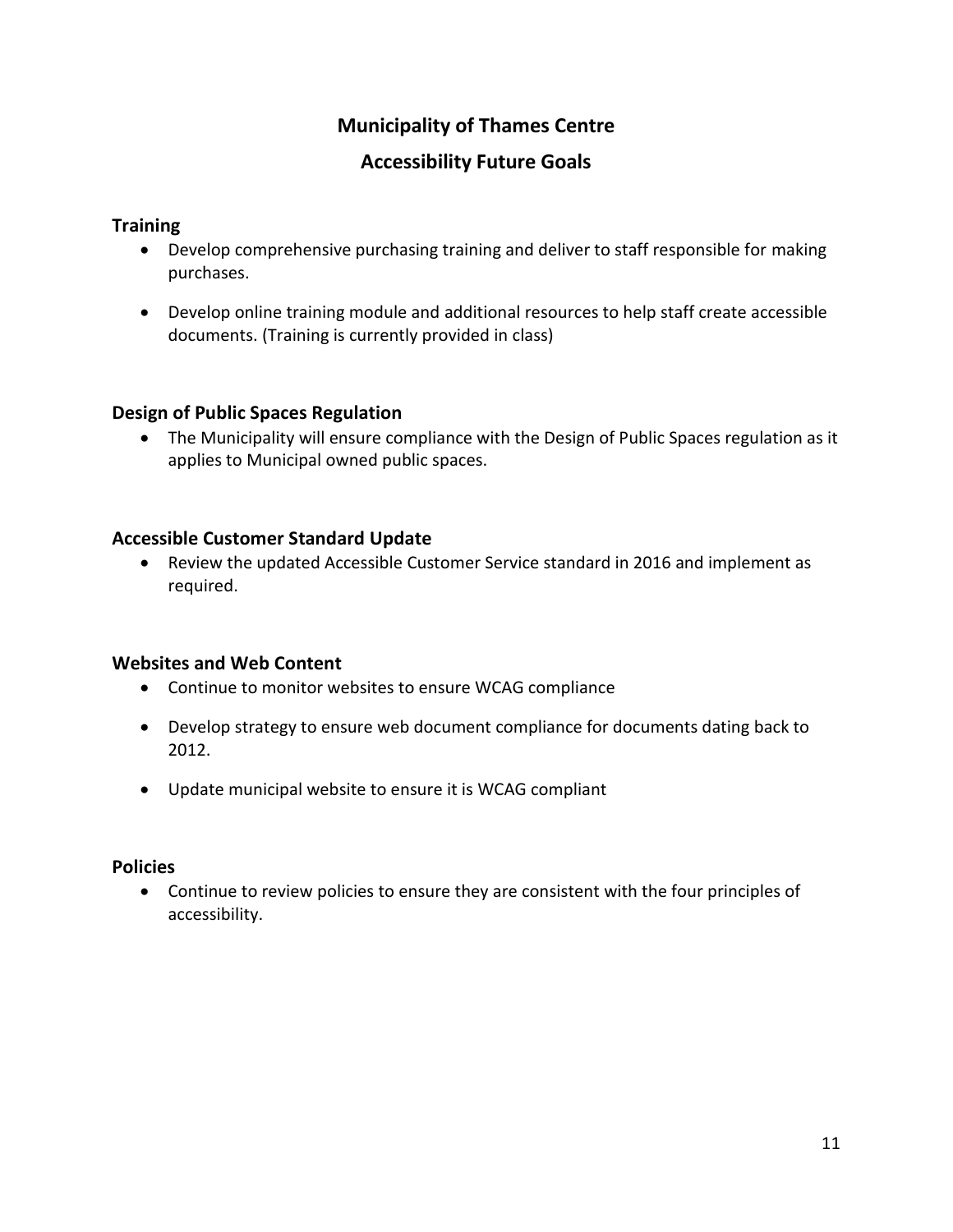# **Municipality of Thames Centre Accessibility Future Goals**

# <span id="page-10-1"></span><span id="page-10-0"></span>**Training**

- Develop comprehensive purchasing training and deliver to staff responsible for making purchases.
- Develop online training module and additional resources to help staff create accessible documents. (Training is currently provided in class)

# <span id="page-10-2"></span>**Design of Public Spaces Regulation**

 The Municipality will ensure compliance with the Design of Public Spaces regulation as it applies to Municipal owned public spaces.

# <span id="page-10-3"></span>**Accessible Customer Standard Update**

 Review the updated Accessible Customer Service standard in 2016 and implement as required.

# <span id="page-10-4"></span>**Websites and Web Content**

- Continue to monitor websites to ensure WCAG compliance
- Develop strategy to ensure web document compliance for documents dating back to 2012.
- Update municipal website to ensure it is WCAG compliant

# <span id="page-10-5"></span>**Policies**

 Continue to review policies to ensure they are consistent with the four principles of accessibility.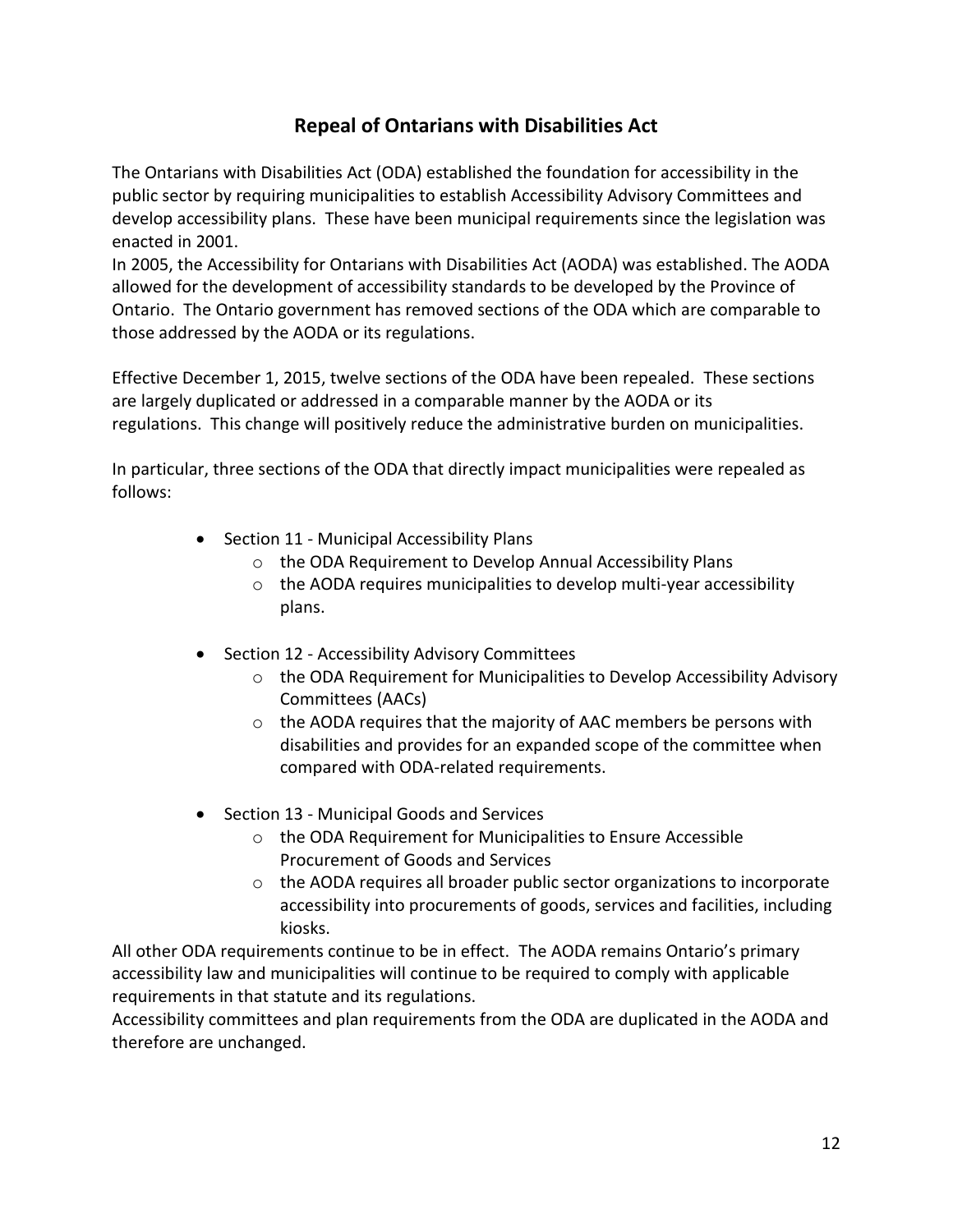# **Repeal of Ontarians with Disabilities Act**

<span id="page-11-0"></span>The Ontarians with Disabilities Act (ODA) established the foundation for accessibility in the public sector by requiring municipalities to establish Accessibility Advisory Committees and develop accessibility plans. These have been municipal requirements since the legislation was enacted in 2001.

In 2005, the Accessibility for Ontarians with Disabilities Act (AODA) was established. The AODA allowed for the development of accessibility standards to be developed by the Province of Ontario. The Ontario government has removed sections of the ODA which are comparable to those addressed by the AODA or its regulations.

Effective December 1, 2015, twelve sections of the ODA have been repealed. These sections are largely duplicated or addressed in a comparable manner by the AODA or its regulations. This change will positively reduce the administrative burden on municipalities.

In particular, three sections of the ODA that directly impact municipalities were repealed as follows:

- Section 11 Municipal Accessibility Plans
	- o the ODA Requirement to Develop Annual Accessibility Plans
	- o the AODA requires municipalities to develop multi-year accessibility plans.
- Section 12 Accessibility Advisory Committees
	- o the ODA Requirement for Municipalities to Develop Accessibility Advisory Committees (AACs)
	- o the AODA requires that the majority of AAC members be persons with disabilities and provides for an expanded scope of the committee when compared with ODA-related requirements.
- Section 13 Municipal Goods and Services
	- o the ODA Requirement for Municipalities to Ensure Accessible Procurement of Goods and Services
	- o the AODA requires all broader public sector organizations to incorporate accessibility into procurements of goods, services and facilities, including kiosks.

All other ODA requirements continue to be in effect. The AODA remains Ontario's primary accessibility law and municipalities will continue to be required to comply with applicable requirements in that statute and its regulations.

Accessibility committees and plan requirements from the ODA are duplicated in the AODA and therefore are unchanged.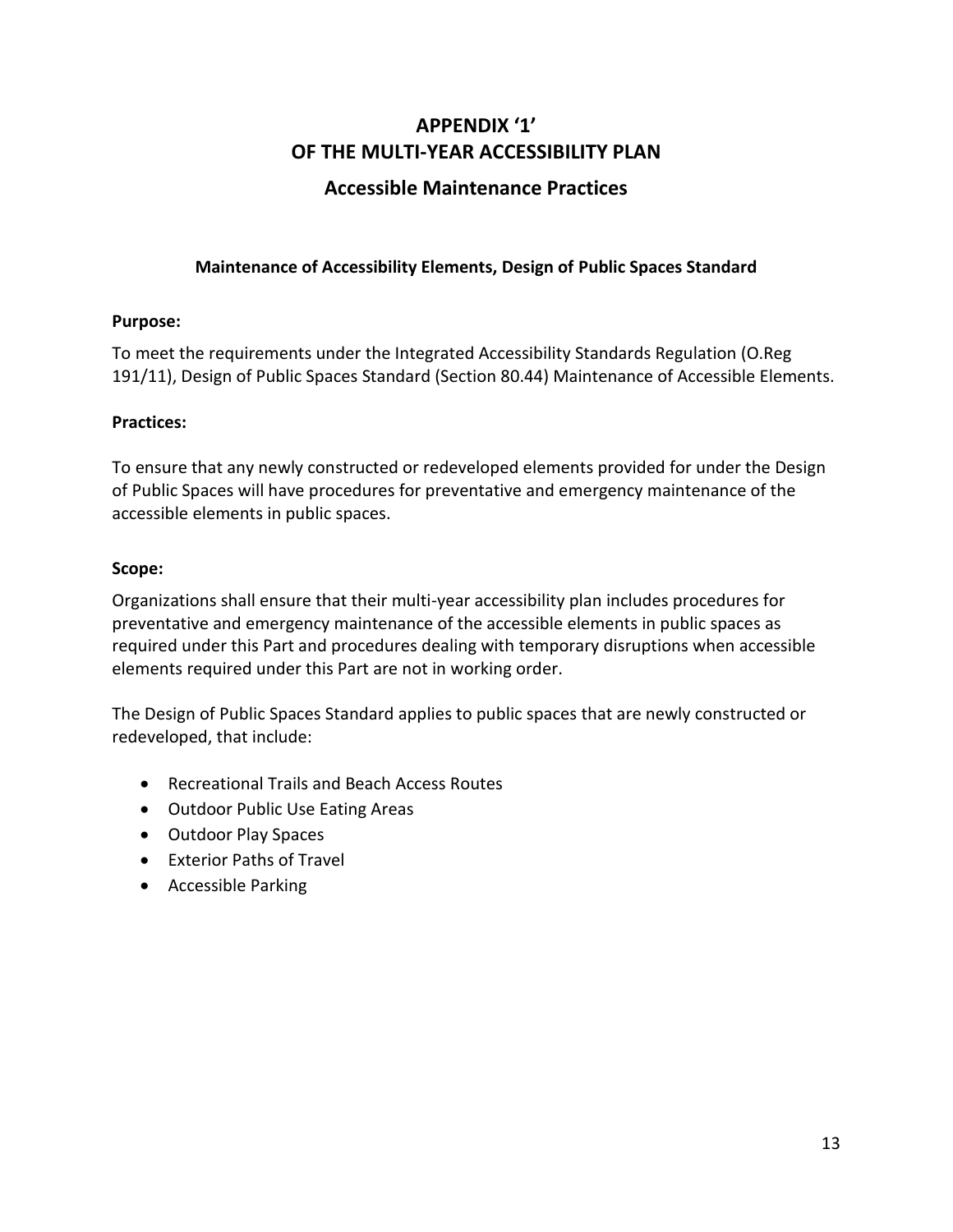# **APPENDIX '1' OF THE MULTI-YEAR ACCESSIBILITY PLAN Accessible Maintenance Practices**

# <span id="page-12-0"></span>**Maintenance of Accessibility Elements, Design of Public Spaces Standard**

# <span id="page-12-2"></span><span id="page-12-1"></span>**Purpose:**

To meet the requirements under the Integrated Accessibility Standards Regulation (O.Reg 191/11), Design of Public Spaces Standard (Section 80.44) Maintenance of Accessible Elements.

# **Practices:**

To ensure that any newly constructed or redeveloped elements provided for under the Design of Public Spaces will have procedures for preventative and emergency maintenance of the accessible elements in public spaces.

# <span id="page-12-3"></span>**Scope:**

Organizations shall ensure that their multi-year accessibility plan includes procedures for preventative and emergency maintenance of the accessible elements in public spaces as required under this Part and procedures dealing with temporary disruptions when accessible elements required under this Part are not in working order.

The Design of Public Spaces Standard applies to public spaces that are newly constructed or redeveloped, that include:

- Recreational Trails and Beach Access Routes
- Outdoor Public Use Eating Areas
- Outdoor Play Spaces
- Exterior Paths of Travel
- Accessible Parking